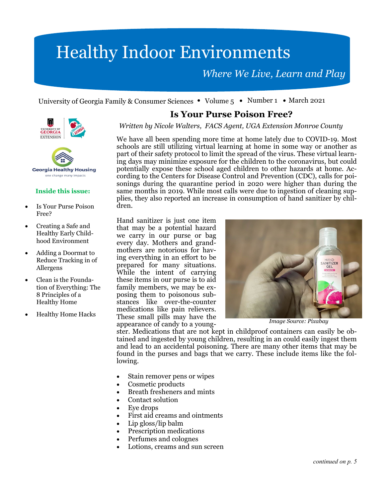# Healthy Indoor Environments

*Where We Live, Learn and Play* 

University of Georgia Family & Consumer Sciences • Volume  $5 \cdot$  Number 1 • March 2021





#### **Inside this issue:**

- Is Your Purse Poison Free?
- Creating a Safe and Healthy Early Childhood Environment
- Adding a Doormat to Reduce Tracking in of Allergens
- Clean is the Foundation of Everything: The 8 Principles of a Healthy Home
- Healthy Home Hacks

#### **Is Your Purse Poison Free?**

*Written by Nicole Walters, FACS Agent, UGA Extension Monroe County* 

We have all been spending more time at home lately due to COVID-19. Most schools are still utilizing virtual learning at home in some way or another as part of their safety protocol to limit the spread of the virus. These virtual learning days may minimize exposure for the children to the coronavirus, but could potentially expose these school aged children to other hazards at home. According to the Centers for Disease Control and Prevention (CDC), calls for poisonings during the quarantine period in 2020 were higher than during the same months in 2019. While most calls were due to ingestion of cleaning supplies, they also reported an increase in consumption of hand sanitizer by children.

Hand sanitizer is just one item that may be a potential hazard we carry in our purse or bag every day. Mothers and grandmothers are notorious for having everything in an effort to be prepared for many situations. While the intent of carrying these items in our purse is to aid family members, we may be exposing them to poisonous substances like over-the-counter medications like pain relievers. These small pills may have the appearance of candy to a young-



*Image Source: Pixabay* 

ster. Medications that are not kept in childproof containers can easily be obtained and ingested by young children, resulting in an could easily ingest them and lead to an accidental poisoning. There are many other items that may be found in the purses and bags that we carry. These include items like the following.

- Stain remover pens or wipes
- Cosmetic products
- Breath fresheners and mints
- Contact solution
- Eye drops
- First aid creams and ointments
- Lip gloss/lip balm
- Prescription medications
- Perfumes and colognes
- Lotions, creams and sun screen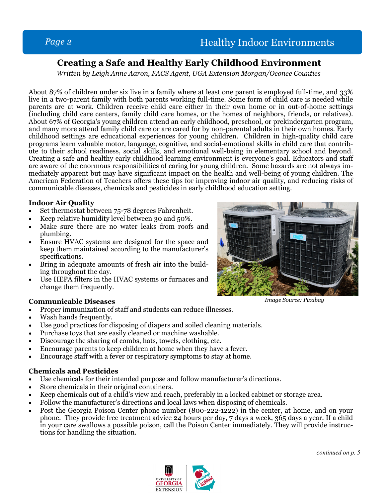# **Creating a Safe and Healthy Early Childhood Environment**

*Written by Leigh Anne Aaron, FACS Agent, UGA Extension Morgan/Oconee Counties* 

About 87% of children under six live in a family where at least one parent is employed full-time, and 33% live in a two-parent family with both parents working full-time. Some form of child care is needed while parents are at work. Children receive child care either in their own home or in out-of-home settings (including child care centers, family child care homes, or the homes of neighbors, friends, or relatives). About 67% of Georgia's young children attend an early childhood, preschool, or prekindergarten program, and many more attend family child care or are cared for by non-parental adults in their own homes. Early childhood settings are educational experiences for young children. Children in high-quality child care programs learn valuable motor, language, cognitive, and social-emotional skills in child care that contribute to their school readiness, social skills, and emotional well-being in elementary school and beyond. Creating a safe and healthy early childhood learning environment is everyone's goal. Educators and staff are aware of the enormous responsibilities of caring for young children. Some hazards are not always immediately apparent but may have significant impact on the health and well-being of young children. The American Federation of Teachers offers these tips for improving indoor air quality, and reducing risks of communicable diseases, chemicals and pesticides in early childhood education setting.

#### **Indoor Air Quality**

- Set thermostat between 75-78 degrees Fahrenheit.
- Keep relative humidity level between 30 and 50%.
- Make sure there are no water leaks from roofs and plumbing.
- Ensure HVAC systems are designed for the space and keep them maintained according to the manufacturer's specifications.
- Bring in adequate amounts of fresh air into the building throughout the day.
- Use HEPA filters in the HVAC systems or furnaces and change them frequently.

#### **Communicable Diseases**

- Proper immunization of staff and students can reduce illnesses.
- Wash hands frequently.
- Use good practices for disposing of diapers and soiled cleaning materials.
- Purchase toys that are easily cleaned or machine washable.
- Discourage the sharing of combs, hats, towels, clothing, etc.
- Encourage parents to keep children at home when they have a fever.
- Encourage staff with a fever or respiratory symptoms to stay at home.

#### **Chemicals and Pesticides**

- Use chemicals for their intended purpose and follow manufacturer's directions.
- Store chemicals in their original containers.
- Keep chemicals out of a child's view and reach, preferably in a locked cabinet or storage area.
- Follow the manufacturer's directions and local laws when disposing of chemicals.
- Post the Georgia Poison Center phone number (800-222-1222) in the center, at home, and on your phone. They provide free treatment advice 24 hours per day, 7 days a week, 365 days a year. If a child in your care swallows a possible poison, call the Poison Center immediately. They will provide instructions for handling the situation.





*Image Source: Pixabay*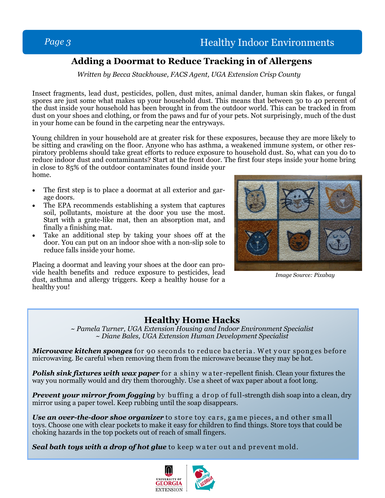# **Adding a Doormat to Reduce Tracking in of Allergens**

*Written by Becca Stackhouse, FACS Agent, UGA Extension Crisp County* 

Insect fragments, lead dust, pesticides, pollen, dust mites, animal dander, human skin flakes, or fungal spores are just some what makes up your household dust. This means that between 30 to 40 percent of the dust inside your household has been brought in from the outdoor world. This can be tracked in from dust on your shoes and clothing, or from the paws and fur of your pets. Not surprisingly, much of the dust in your home can be found in the carpeting near the entryways.

Young children in your household are at greater risk for these exposures, because they are more likely to be sitting and crawling on the floor. Anyone who has asthma, a weakened immune system, or other respiratory problems should take great efforts to reduce exposure to household dust. So, what can you do to reduce indoor dust and contaminants? Start at the front door. The first four steps inside your home bring in close to 85% of the outdoor contaminates found inside your

home.

- The first step is to place a doormat at all exterior and garage doors.
- The EPA recommends establishing a system that captures soil, pollutants, moisture at the door you use the most. Start with a grate-like mat, then an absorption mat, and finally a finishing mat.
- Take an additional step by taking your shoes off at the door. You can put on an indoor shoe with a non-slip sole to reduce falls inside your home.

Placing a doormat and leaving your shoes at the door can provide health benefits and reduce exposure to pesticides, lead dust, asthma and allergy triggers. Keep a healthy house for a healthy you!



*Image Source: Pixabay* 

## **Healthy Home Hacks**

*~ Pamela Turner, UGA Extension Housing and Indoor Environment Specialist ~ Diane Bales, UGA Extension Human Development Specialist* 

*Microwave kitchen sponges* for 90 seconds to reduce bacteria. Wet y our sponges before microwaving. Be careful when removing them from the microwave because they may be hot.

**Polish sink fixtures with wax paper** for a shiny w a ter-repellent finish. Clean your fixtures the way you normally would and dry them thoroughly. Use a sheet of wax paper about a foot long.

**Prevent your mirror from fogging** by buffing a drop of full-strength dish soap into a clean, dry mirror using a paper towel. Keep rubbing until the soap disappears.

*Use an over-the-door shoe organizer* to store toy cars, game pieces, and other small toys. Choose one with clear pockets to make it easy for children to find things. Store toys that could be choking hazards in the top pockets out of reach of small fingers.

*Seal bath toys with a drop of hot glue* to keep w ater out and prevent mold.

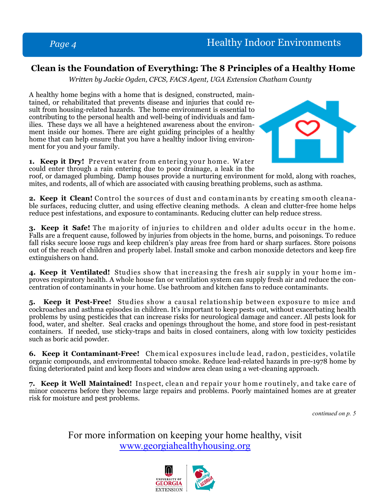# **Clean is the Foundation of Everything: The 8 Principles of a Healthy Home**

*Written by Jackie Ogden, CFCS, FACS Agent, UGA Extension Chatham County* 

A healthy home begins with a home that is designed, constructed, maintained, or rehabilitated that prevents disease and injuries that could result from housing-related hazards. The home environment is essential to contributing to the personal health and well-being of individuals and families. These days we all have a heightened awareness about the environment inside our homes. There are eight guiding principles of a healthy home that can help ensure that you have a healthy indoor living environment for you and your family.



**1. Keep it Dry!** Prevent water from entering your home. Water could enter through a rain entering due to poor drainage, a leak in the

roof, or damaged plumbing. Damp houses provide a nurturing environment for mold, along with roaches, mites, and rodents, all of which are associated with causing breathing problems, such as asthma.

**2. Keep it Clean!** Control the sources of dust and contaminants by creating smooth cleanable surfaces, reducing clutter, and using effective cleaning methods. A clean and clutter-free home helps reduce pest infestations, and exposure to contaminants. Reducing clutter can help reduce stress.

**3. Keep it Safe!** The majority of injuries to children and older adults occur in the home. Falls are a frequent cause, followed by injuries from objects in the home, burns, and poisonings. To reduce fall risks secure loose rugs and keep children's play areas free from hard or sharp surfaces. Store poisons out of the reach of children and properly label. Install smoke and carbon monoxide detectors and keep fire extinguishers on hand.

**4. Keep it Ventilated!** Studies show that increasing the fresh air supply in your home improves respiratory health. A whole house fan or ventilation system can supply fresh air and reduce the concentration of contaminants in your home. Use bathroom and kitchen fans to reduce contaminants.

**5. Keep it Pest-Free!** Studies show a causal relationship between exposure to mice and cockroaches and asthma episodes in children. It's important to keep pests out, without exacerbating health problems by using pesticides that can increase risks for neurological damage and cancer. All pests look for food, water, and shelter. Seal cracks and openings throughout the home, and store food in pest-resistant containers. If needed, use sticky-traps and baits in closed containers, along with low toxicity pesticides such as boric acid powder.

**6. Keep it Contaminant-Free!** Chemical exposures include lead, radon, pesticides, volatile organic compounds, and environmental tobacco smoke. Reduce lead-related hazards in pre-1978 home by fixing deteriorated paint and keep floors and window area clean using a wet-cleaning approach.

7. Keep it Well Maintained! Inspect, clean and repair your home routinely, and take care of minor concerns before they become large repairs and problems. Poorly maintained homes are at greater risk for moisture and pest problems.

*continued on p. 5* 

For more information on keeping your home healthy, visit www.georgiahealthyhousing.org